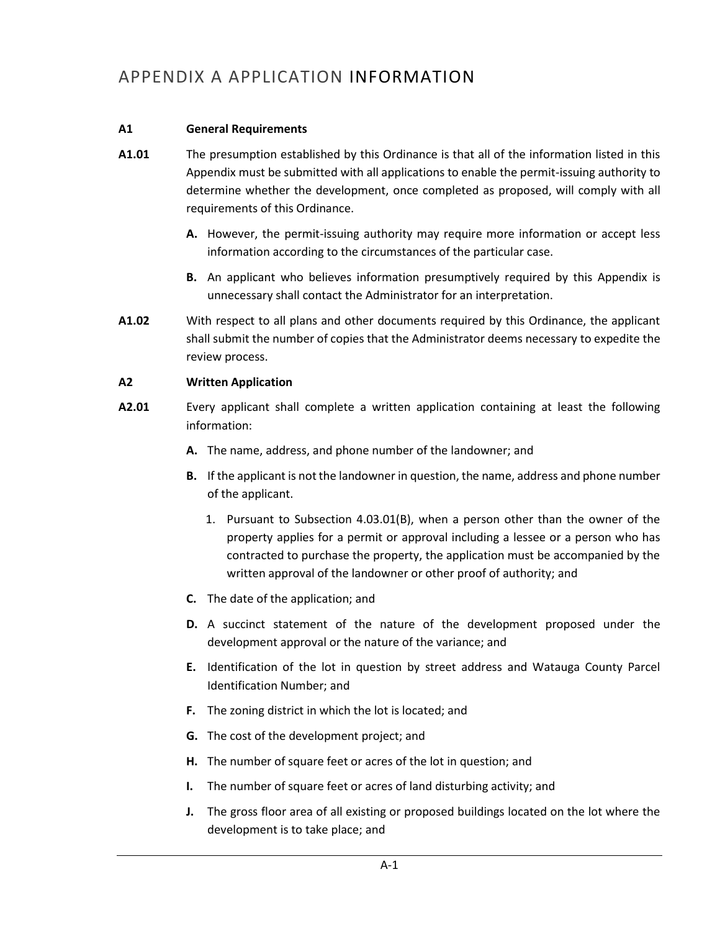# APPENDIX A APPLICATION INFORMATION

## **A1 General Requirements**

- **A1.01** The presumption established by this Ordinance is that all of the information listed in this Appendix must be submitted with all applications to enable the permit-issuing authority to determine whether the development, once completed as proposed, will comply with all requirements of this Ordinance.
	- **A.** However, the permit-issuing authority may require more information or accept less information according to the circumstances of the particular case.
	- **B.** An applicant who believes information presumptively required by this Appendix is unnecessary shall contact the Administrator for an interpretation.
- **A1.02** With respect to all plans and other documents required by this Ordinance, the applicant shall submit the number of copies that the Administrator deems necessary to expedite the review process.

#### **A2 Written Application**

- **A2.01** Every applicant shall complete a written application containing at least the following information:
	- **A.** The name, address, and phone number of the landowner; and
	- **B.** If the applicant is not the landowner in question, the name, address and phone number of the applicant.
		- 1. Pursuant to Subsection 4.03.01(B), when a person other than the owner of the property applies for a permit or approval including a lessee or a person who has contracted to purchase the property, the application must be accompanied by the written approval of the landowner or other proof of authority; and
	- **C.** The date of the application; and
	- **D.** A succinct statement of the nature of the development proposed under the development approval or the nature of the variance; and
	- **E.** Identification of the lot in question by street address and Watauga County Parcel Identification Number; and
	- **F.** The zoning district in which the lot is located; and
	- **G.** The cost of the development project; and
	- **H.** The number of square feet or acres of the lot in question; and
	- **I.** The number of square feet or acres of land disturbing activity; and
	- **J.** The gross floor area of all existing or proposed buildings located on the lot where the development is to take place; and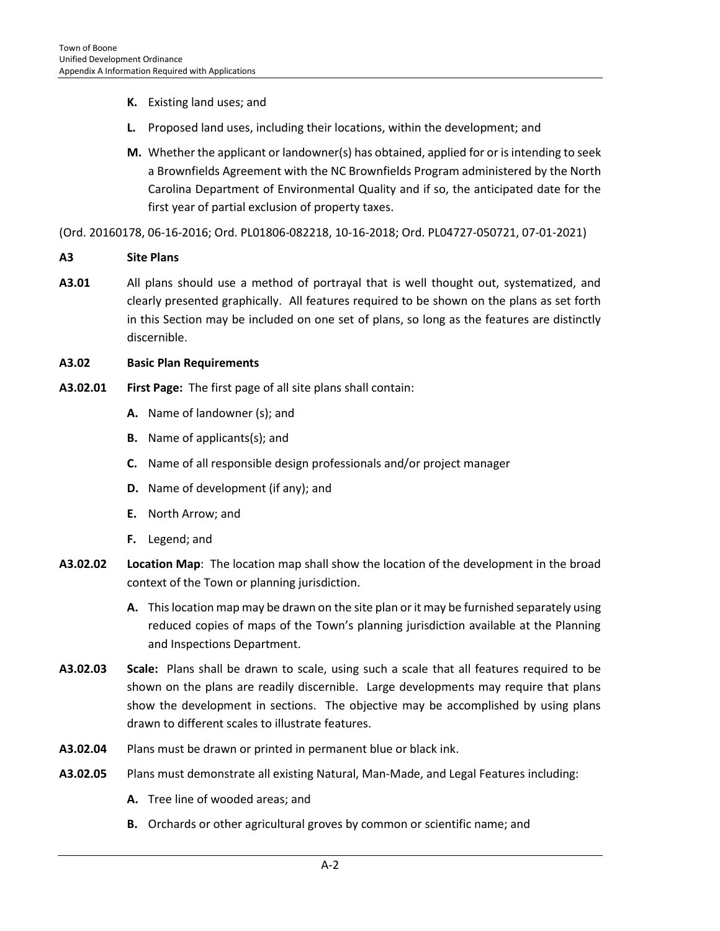- **K.** Existing land uses; and
- **L.** Proposed land uses, including their locations, within the development; and
- **M.** Whether the applicant or landowner(s) has obtained, applied for or is intending to seek a Brownfields Agreement with the NC Brownfields Program administered by the North Carolina Department of Environmental Quality and if so, the anticipated date for the first year of partial exclusion of property taxes.

(Ord. 20160178, 06-16-2016; Ord. PL01806-082218, 10-16-2018; Ord. PL04727-050721, 07-01-2021)

- **A3 Site Plans**
- **A3.01** All plans should use a method of portrayal that is well thought out, systematized, and clearly presented graphically. All features required to be shown on the plans as set forth in this Section may be included on one set of plans, so long as the features are distinctly discernible.

#### **A3.02 Basic Plan Requirements**

- **A3.02.01 First Page:** The first page of all site plans shall contain:
	- **A.** Name of landowner (s); and
	- **B.** Name of applicants(s); and
	- **C.** Name of all responsible design professionals and/or project manager
	- **D.** Name of development (if any); and
	- **E.** North Arrow; and
	- **F.** Legend; and
- **A3.02.02 Location Map**: The location map shall show the location of the development in the broad context of the Town or planning jurisdiction.
	- **A.** This location map may be drawn on the site plan or it may be furnished separately using reduced copies of maps of the Town's planning jurisdiction available at the Planning and Inspections Department.
- **A3.02.03 Scale:** Plans shall be drawn to scale, using such a scale that all features required to be shown on the plans are readily discernible. Large developments may require that plans show the development in sections. The objective may be accomplished by using plans drawn to different scales to illustrate features.
- **A3.02.04** Plans must be drawn or printed in permanent blue or black ink.
- **A3.02.05** Plans must demonstrate all existing Natural, Man-Made, and Legal Features including:
	- **A.** Tree line of wooded areas; and
	- **B.** Orchards or other agricultural groves by common or scientific name; and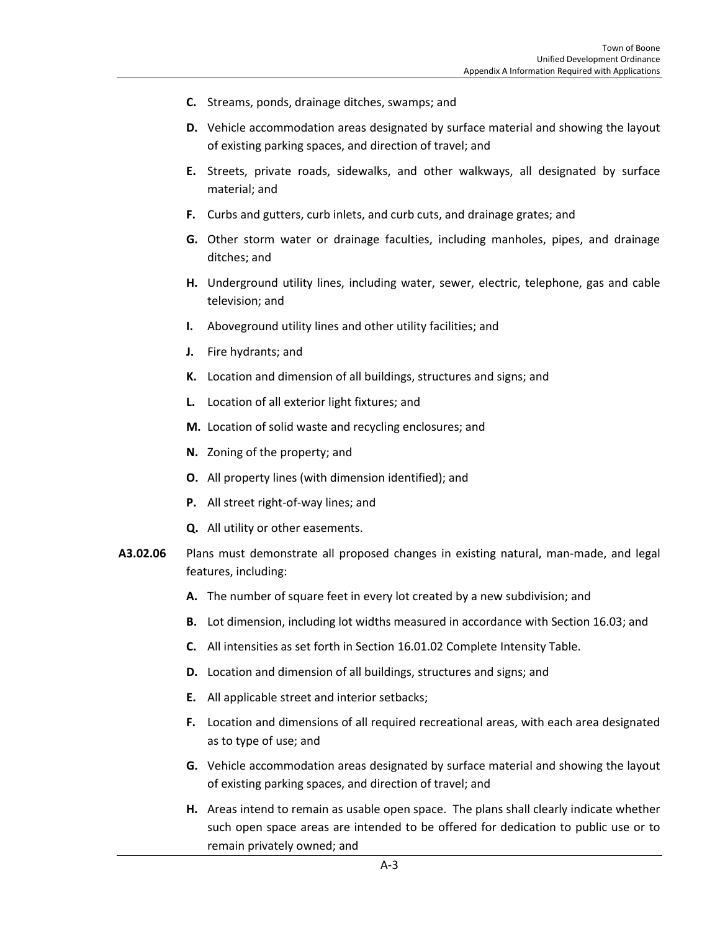- **C.** Streams, ponds, drainage ditches, swamps; and
- **D.** Vehicle accommodation areas designated by surface material and showing the layout of existing parking spaces, and direction of travel; and
- **E.** Streets, private roads, sidewalks, and other walkways, all designated by surface material; and
- **F.** Curbs and gutters, curb inlets, and curb cuts, and drainage grates; and
- **G.** Other storm water or drainage faculties, including manholes, pipes, and drainage ditches; and
- **H.** Underground utility lines, including water, sewer, electric, telephone, gas and cable television; and
- **I.** Aboveground utility lines and other utility facilities; and
- **J.** Fire hydrants; and
- **K.** Location and dimension of all buildings, structures and signs; and
- **L.** Location of all exterior light fixtures; and
- **M.** Location of solid waste and recycling enclosures; and
- **N.** Zoning of the property; and
- **O.** All property lines (with dimension identified); and
- **P.** All street right-of-way lines; and
- **Q.** All utility or other easements.
- **A3.02.06** Plans must demonstrate all proposed changes in existing natural, man-made, and legal features, including:
	- **A.** The number of square feet in every lot created by a new subdivision; and
	- **B.** Lot dimension, including lot widths measured in accordance with Section 16.03; and
	- **C.** All intensities as set forth in Section 16.01.02 Complete Intensity Table.
	- **D.** Location and dimension of all buildings, structures and signs; and
	- **E.** All applicable street and interior setbacks;
	- **F.** Location and dimensions of all required recreational areas, with each area designated as to type of use; and
	- **G.** Vehicle accommodation areas designated by surface material and showing the layout of existing parking spaces, and direction of travel; and
	- **H.** Areas intend to remain as usable open space. The plans shall clearly indicate whether such open space areas are intended to be offered for dedication to public use or to remain privately owned; and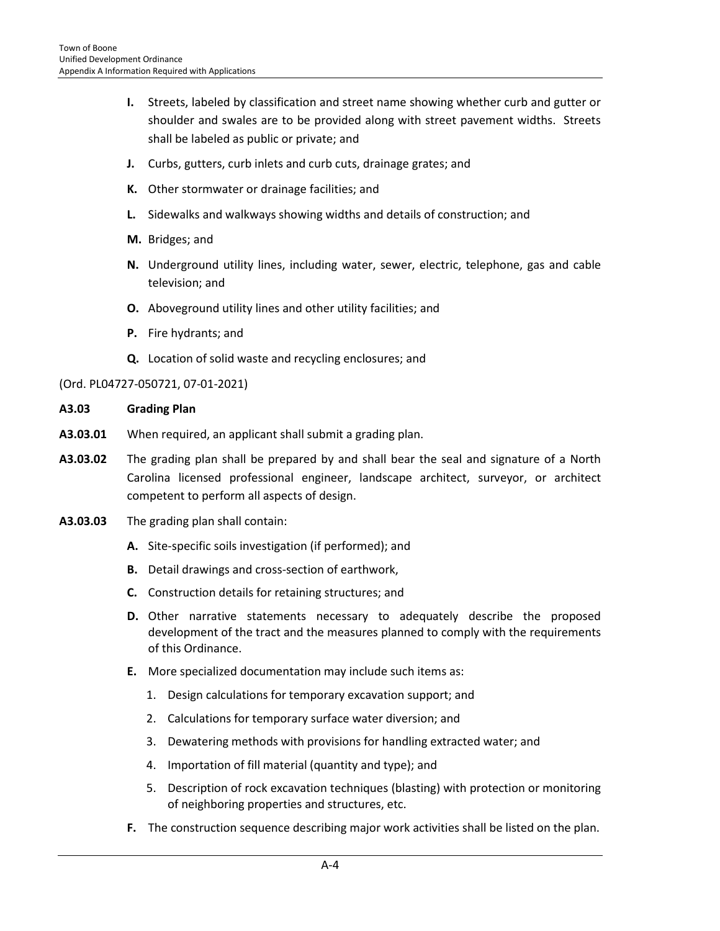- **I.** Streets, labeled by classification and street name showing whether curb and gutter or shoulder and swales are to be provided along with street pavement widths. Streets shall be labeled as public or private; and
- **J.** Curbs, gutters, curb inlets and curb cuts, drainage grates; and
- **K.** Other stormwater or drainage facilities; and
- **L.** Sidewalks and walkways showing widths and details of construction; and
- **M.** Bridges; and
- **N.** Underground utility lines, including water, sewer, electric, telephone, gas and cable television; and
- **O.** Aboveground utility lines and other utility facilities; and
- **P.** Fire hydrants; and
- **Q.** Location of solid waste and recycling enclosures; and

#### (Ord. PL04727-050721, 07-01-2021)

- **A3.03 Grading Plan**
- **A3.03.01** When required, an applicant shall submit a grading plan.
- **A3.03.02** The grading plan shall be prepared by and shall bear the seal and signature of a North Carolina licensed professional engineer, landscape architect, surveyor, or architect competent to perform all aspects of design.
- **A3.03.03** The grading plan shall contain:
	- **A.** Site-specific soils investigation (if performed); and
	- **B.** Detail drawings and cross-section of earthwork,
	- **C.** Construction details for retaining structures; and
	- **D.** Other narrative statements necessary to adequately describe the proposed development of the tract and the measures planned to comply with the requirements of this Ordinance.
	- **E.** More specialized documentation may include such items as:
		- 1. Design calculations for temporary excavation support; and
		- 2. Calculations for temporary surface water diversion; and
		- 3. Dewatering methods with provisions for handling extracted water; and
		- 4. Importation of fill material (quantity and type); and
		- 5. Description of rock excavation techniques (blasting) with protection or monitoring of neighboring properties and structures, etc.
	- **F.** The construction sequence describing major work activities shall be listed on the plan.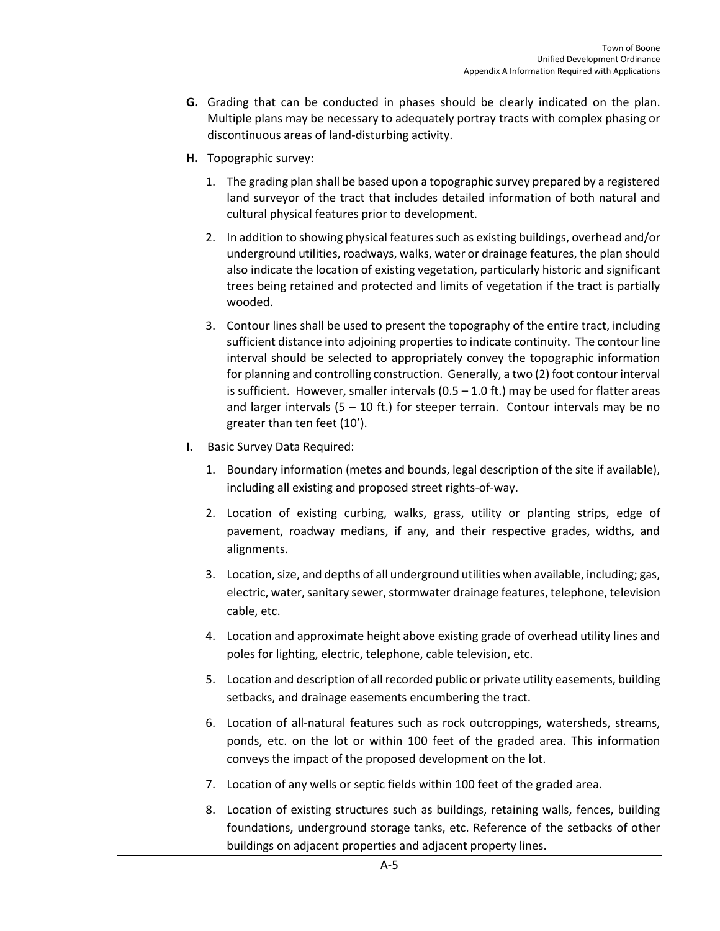- **G.** Grading that can be conducted in phases should be clearly indicated on the plan. Multiple plans may be necessary to adequately portray tracts with complex phasing or discontinuous areas of land-disturbing activity.
- **H.** Topographic survey:
	- 1. The grading plan shall be based upon a topographic survey prepared by a registered land surveyor of the tract that includes detailed information of both natural and cultural physical features prior to development.
	- 2. In addition to showing physical features such as existing buildings, overhead and/or underground utilities, roadways, walks, water or drainage features, the plan should also indicate the location of existing vegetation, particularly historic and significant trees being retained and protected and limits of vegetation if the tract is partially wooded.
	- 3. Contour lines shall be used to present the topography of the entire tract, including sufficient distance into adjoining properties to indicate continuity. The contour line interval should be selected to appropriately convey the topographic information for planning and controlling construction. Generally, a two (2) foot contour interval is sufficient. However, smaller intervals ( $0.5 - 1.0$  ft.) may be used for flatter areas and larger intervals  $(5 - 10$  ft.) for steeper terrain. Contour intervals may be no greater than ten feet (10').
- **I.** Basic Survey Data Required:
	- 1. Boundary information (metes and bounds, legal description of the site if available), including all existing and proposed street rights-of-way.
	- 2. Location of existing curbing, walks, grass, utility or planting strips, edge of pavement, roadway medians, if any, and their respective grades, widths, and alignments.
	- 3. Location, size, and depths of all underground utilities when available, including; gas, electric, water, sanitary sewer, stormwater drainage features, telephone, television cable, etc.
	- 4. Location and approximate height above existing grade of overhead utility lines and poles for lighting, electric, telephone, cable television, etc.
	- 5. Location and description of all recorded public or private utility easements, building setbacks, and drainage easements encumbering the tract.
	- 6. Location of all-natural features such as rock outcroppings, watersheds, streams, ponds, etc. on the lot or within 100 feet of the graded area. This information conveys the impact of the proposed development on the lot.
	- 7. Location of any wells or septic fields within 100 feet of the graded area.
	- 8. Location of existing structures such as buildings, retaining walls, fences, building foundations, underground storage tanks, etc. Reference of the setbacks of other buildings on adjacent properties and adjacent property lines.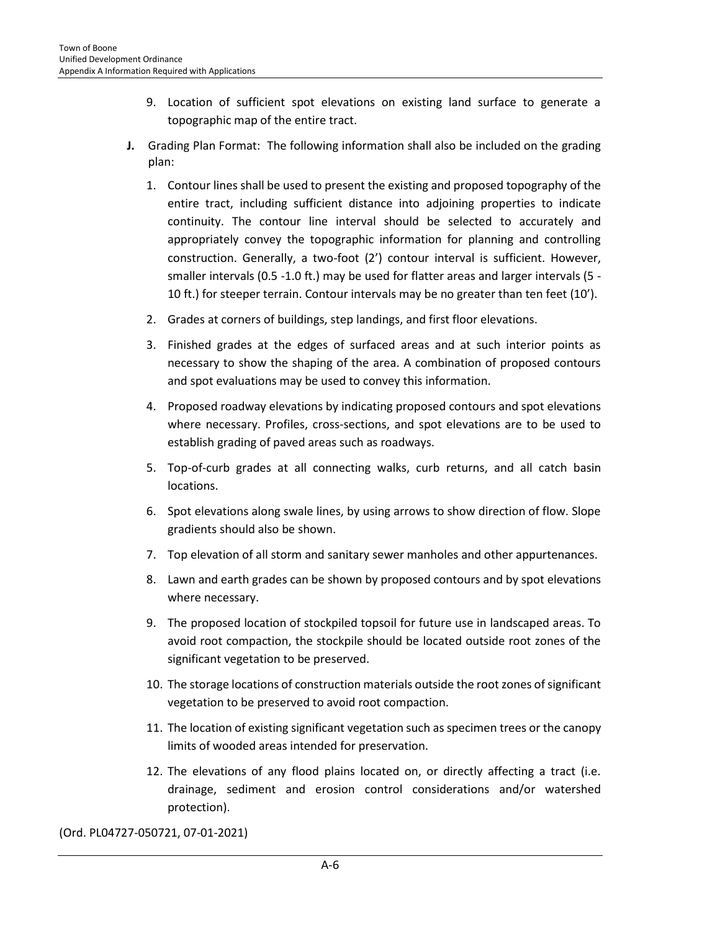- 9. Location of sufficient spot elevations on existing land surface to generate a topographic map of the entire tract.
- **J.** Grading Plan Format: The following information shall also be included on the grading plan:
	- 1. Contour lines shall be used to present the existing and proposed topography of the entire tract, including sufficient distance into adjoining properties to indicate continuity. The contour line interval should be selected to accurately and appropriately convey the topographic information for planning and controlling construction. Generally, a two-foot (2') contour interval is sufficient. However, smaller intervals (0.5 -1.0 ft.) may be used for flatter areas and larger intervals (5 - 10 ft.) for steeper terrain. Contour intervals may be no greater than ten feet (10').
	- 2. Grades at corners of buildings, step landings, and first floor elevations.
	- 3. Finished grades at the edges of surfaced areas and at such interior points as necessary to show the shaping of the area. A combination of proposed contours and spot evaluations may be used to convey this information.
	- 4. Proposed roadway elevations by indicating proposed contours and spot elevations where necessary. Profiles, cross-sections, and spot elevations are to be used to establish grading of paved areas such as roadways.
	- 5. Top-of-curb grades at all connecting walks, curb returns, and all catch basin locations.
	- 6. Spot elevations along swale lines, by using arrows to show direction of flow. Slope gradients should also be shown.
	- 7. Top elevation of all storm and sanitary sewer manholes and other appurtenances.
	- 8. Lawn and earth grades can be shown by proposed contours and by spot elevations where necessary.
	- 9. The proposed location of stockpiled topsoil for future use in landscaped areas. To avoid root compaction, the stockpile should be located outside root zones of the significant vegetation to be preserved.
	- 10. The storage locations of construction materials outside the root zones of significant vegetation to be preserved to avoid root compaction.
	- 11. The location of existing significant vegetation such as specimen trees or the canopy limits of wooded areas intended for preservation.
	- 12. The elevations of any flood plains located on, or directly affecting a tract (i.e. drainage, sediment and erosion control considerations and/or watershed protection).

(Ord. PL04727-050721, 07-01-2021)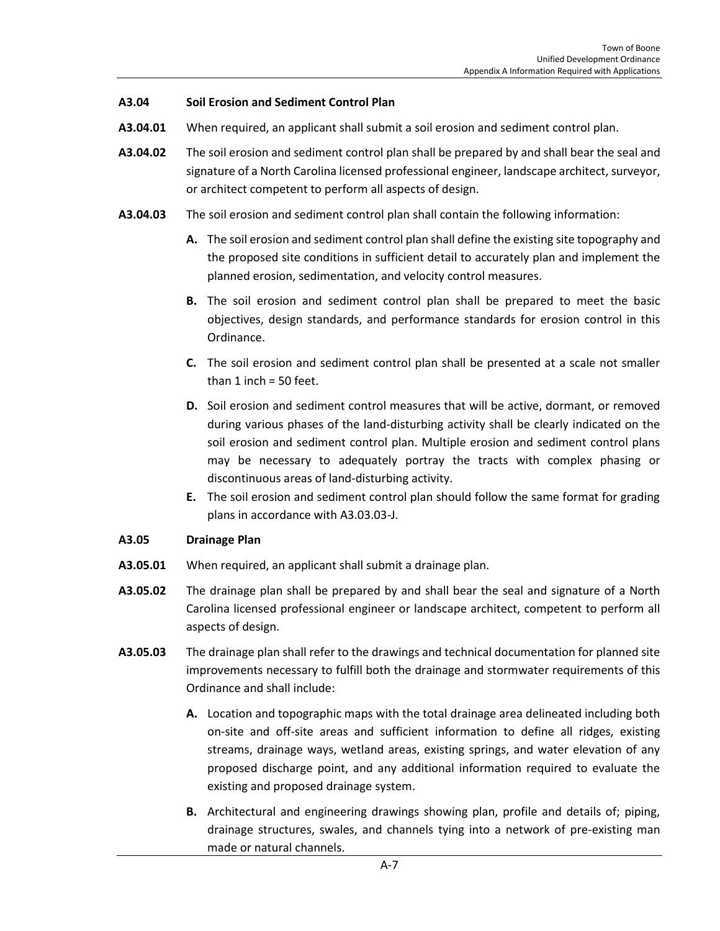#### **A3.04 Soil Erosion and Sediment Control Plan**

- **A3.04.01** When required, an applicant shall submit a soil erosion and sediment control plan.
- **A3.04.02** The soil erosion and sediment control plan shall be prepared by and shall bear the seal and signature of a North Carolina licensed professional engineer, landscape architect, surveyor, or architect competent to perform all aspects of design.
- **A3.04.03** The soil erosion and sediment control plan shall contain the following information:
	- **A.** The soil erosion and sediment control plan shall define the existing site topography and the proposed site conditions in sufficient detail to accurately plan and implement the planned erosion, sedimentation, and velocity control measures.
	- **B.** The soil erosion and sediment control plan shall be prepared to meet the basic objectives, design standards, and performance standards for erosion control in this Ordinance.
	- **C.** The soil erosion and sediment control plan shall be presented at a scale not smaller than 1 inch = 50 feet.
	- **D.** Soil erosion and sediment control measures that will be active, dormant, or removed during various phases of the land-disturbing activity shall be clearly indicated on the soil erosion and sediment control plan. Multiple erosion and sediment control plans may be necessary to adequately portray the tracts with complex phasing or discontinuous areas of land-disturbing activity.
	- **E.** The soil erosion and sediment control plan should follow the same format for grading plans in accordance with A3.03.03-J.

#### **A3.05 Drainage Plan**

- **A3.05.01** When required, an applicant shall submit a drainage plan.
- **A3.05.02** The drainage plan shall be prepared by and shall bear the seal and signature of a North Carolina licensed professional engineer or landscape architect, competent to perform all aspects of design.
- **A3.05.03** The drainage plan shall refer to the drawings and technical documentation for planned site improvements necessary to fulfill both the drainage and stormwater requirements of this Ordinance and shall include:
	- **A.** Location and topographic maps with the total drainage area delineated including both on-site and off-site areas and sufficient information to define all ridges, existing streams, drainage ways, wetland areas, existing springs, and water elevation of any proposed discharge point, and any additional information required to evaluate the existing and proposed drainage system.
	- **B.** Architectural and engineering drawings showing plan, profile and details of; piping, drainage structures, swales, and channels tying into a network of pre-existing man made or natural channels.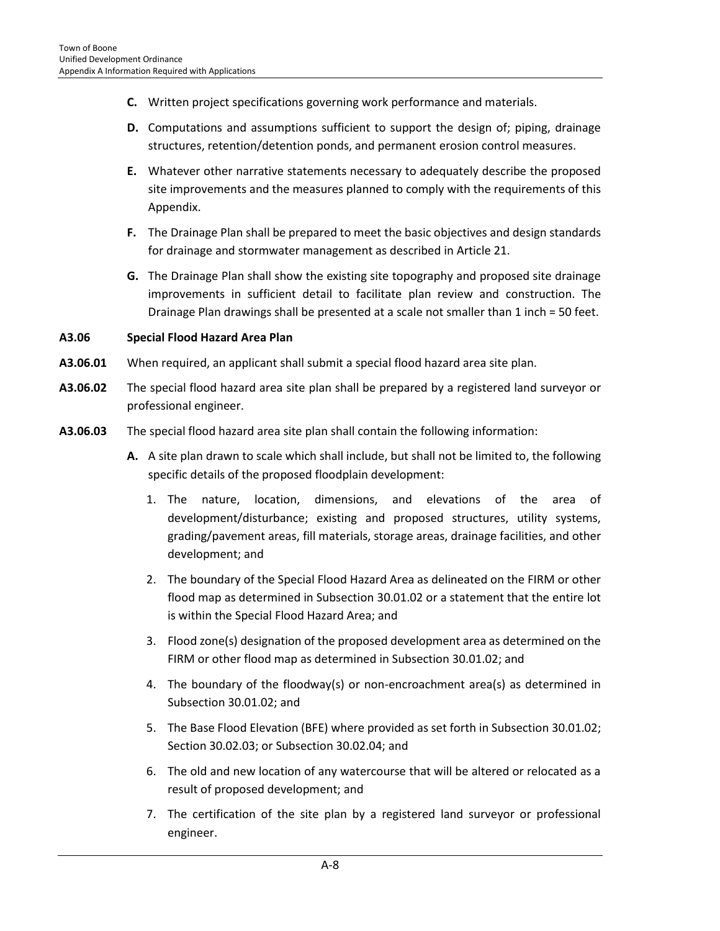- **C.** Written project specifications governing work performance and materials.
- **D.** Computations and assumptions sufficient to support the design of; piping, drainage structures, retention/detention ponds, and permanent erosion control measures.
- **E.** Whatever other narrative statements necessary to adequately describe the proposed site improvements and the measures planned to comply with the requirements of this Appendix.
- **F.** The Drainage Plan shall be prepared to meet the basic objectives and design standards for drainage and stormwater management as described in Article 21.
- **G.** The Drainage Plan shall show the existing site topography and proposed site drainage improvements in sufficient detail to facilitate plan review and construction. The Drainage Plan drawings shall be presented at a scale not smaller than 1 inch = 50 feet.

#### **A3.06 Special Flood Hazard Area Plan**

- **A3.06.01** When required, an applicant shall submit a special flood hazard area site plan.
- **A3.06.02** The special flood hazard area site plan shall be prepared by a registered land surveyor or professional engineer.
- **A3.06.03** The special flood hazard area site plan shall contain the following information:
	- **A.** A site plan drawn to scale which shall include, but shall not be limited to, the following specific details of the proposed floodplain development:
		- 1. The nature, location, dimensions, and elevations of the area of development/disturbance; existing and proposed structures, utility systems, grading/pavement areas, fill materials, storage areas, drainage facilities, and other development; and
		- 2. The boundary of the Special Flood Hazard Area as delineated on the FIRM or other flood map as determined in Subsection 30.01.02 or a statement that the entire lot is within the Special Flood Hazard Area; and
		- 3. Flood zone(s) designation of the proposed development area as determined on the FIRM or other flood map as determined in Subsection 30.01.02; and
		- 4. The boundary of the floodway(s) or non-encroachment area(s) as determined in Subsection 30.01.02; and
		- 5. The Base Flood Elevation (BFE) where provided as set forth in Subsection 30.01.02; Section 30.02.03; or Subsection 30.02.04; and
		- 6. The old and new location of any watercourse that will be altered or relocated as a result of proposed development; and
		- 7. The certification of the site plan by a registered land surveyor or professional engineer.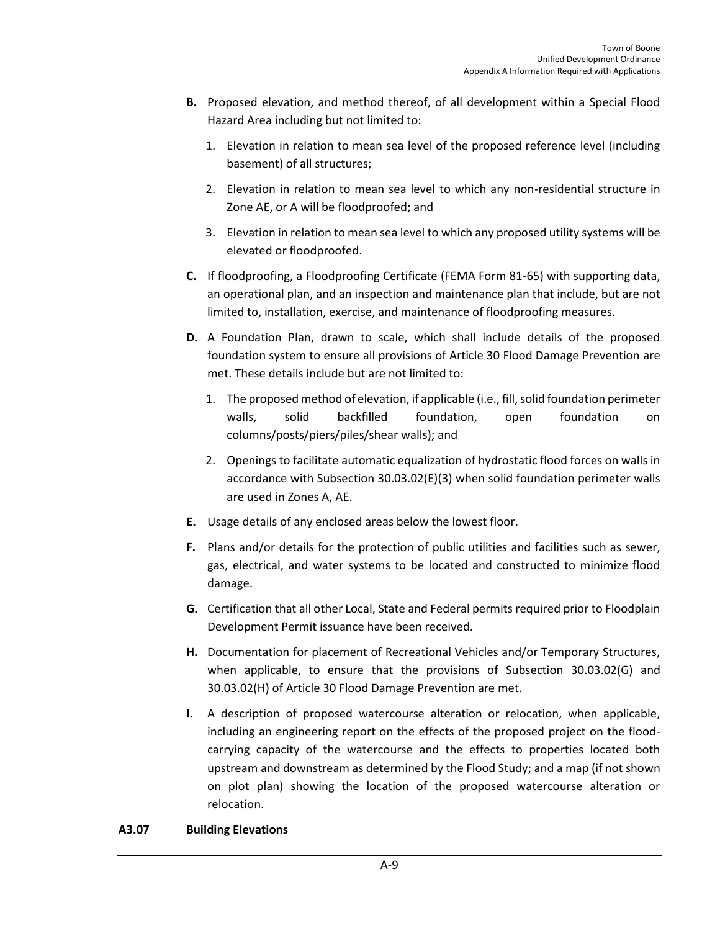- **B.** Proposed elevation, and method thereof, of all development within a Special Flood Hazard Area including but not limited to:
	- 1. Elevation in relation to mean sea level of the proposed reference level (including basement) of all structures;
	- 2. Elevation in relation to mean sea level to which any non-residential structure in Zone AE, or A will be floodproofed; and
	- 3. Elevation in relation to mean sea level to which any proposed utility systems will be elevated or floodproofed.
- **C.** If floodproofing, a Floodproofing Certificate (FEMA Form 81-65) with supporting data, an operational plan, and an inspection and maintenance plan that include, but are not limited to, installation, exercise, and maintenance of floodproofing measures.
- **D.** A Foundation Plan, drawn to scale, which shall include details of the proposed foundation system to ensure all provisions of Article 30 Flood Damage Prevention are met. These details include but are not limited to:
	- 1. The proposed method of elevation, if applicable (i.e., fill, solid foundation perimeter walls, solid backfilled foundation, open foundation on columns/posts/piers/piles/shear walls); and
	- 2. Openings to facilitate automatic equalization of hydrostatic flood forces on walls in accordance with Subsection 30.03.02(E)(3) when solid foundation perimeter walls are used in Zones A, AE.
- **E.** Usage details of any enclosed areas below the lowest floor.
- **F.** Plans and/or details for the protection of public utilities and facilities such as sewer, gas, electrical, and water systems to be located and constructed to minimize flood damage.
- **G.** Certification that all other Local, State and Federal permits required prior to Floodplain Development Permit issuance have been received.
- **H.** Documentation for placement of Recreational Vehicles and/or Temporary Structures, when applicable, to ensure that the provisions of Subsection 30.03.02(G) and 30.03.02(H) of Article 30 Flood Damage Prevention are met.
- **I.** A description of proposed watercourse alteration or relocation, when applicable, including an engineering report on the effects of the proposed project on the floodcarrying capacity of the watercourse and the effects to properties located both upstream and downstream as determined by the Flood Study; and a map (if not shown on plot plan) showing the location of the proposed watercourse alteration or relocation.

## **A3.07 Building Elevations**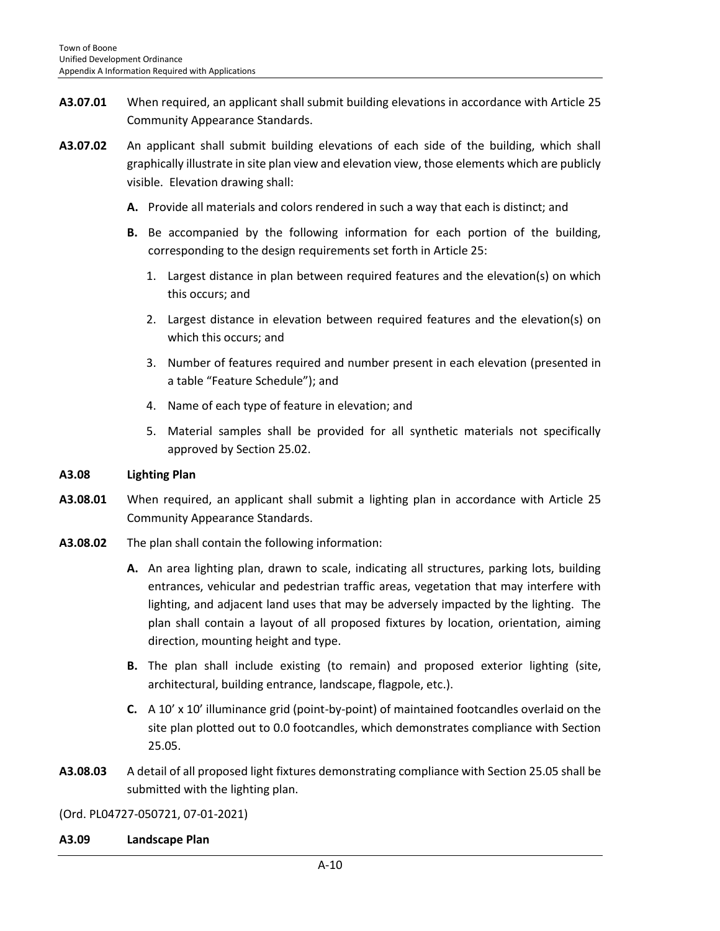- **A3.07.01** When required, an applicant shall submit building elevations in accordance with Article 25 Community Appearance Standards.
- **A3.07.02** An applicant shall submit building elevations of each side of the building, which shall graphically illustrate in site plan view and elevation view, those elements which are publicly visible. Elevation drawing shall:
	- **A.** Provide all materials and colors rendered in such a way that each is distinct; and
	- **B.** Be accompanied by the following information for each portion of the building, corresponding to the design requirements set forth in Article 25:
		- 1. Largest distance in plan between required features and the elevation(s) on which this occurs; and
		- 2. Largest distance in elevation between required features and the elevation(s) on which this occurs; and
		- 3. Number of features required and number present in each elevation (presented in a table "Feature Schedule"); and
		- 4. Name of each type of feature in elevation; and
		- 5. Material samples shall be provided for all synthetic materials not specifically approved by Section 25.02.

#### **A3.08 Lighting Plan**

- **A3.08.01** When required, an applicant shall submit a lighting plan in accordance with Article 25 Community Appearance Standards.
- **A3.08.02** The plan shall contain the following information:
	- **A.** An area lighting plan, drawn to scale, indicating all structures, parking lots, building entrances, vehicular and pedestrian traffic areas, vegetation that may interfere with lighting, and adjacent land uses that may be adversely impacted by the lighting. The plan shall contain a layout of all proposed fixtures by location, orientation, aiming direction, mounting height and type.
	- **B.** The plan shall include existing (to remain) and proposed exterior lighting (site, architectural, building entrance, landscape, flagpole, etc.).
	- **C.** A 10' x 10' illuminance grid (point-by-point) of maintained footcandles overlaid on the site plan plotted out to 0.0 footcandles, which demonstrates compliance with Section 25.05.
- **A3.08.03** A detail of all proposed light fixtures demonstrating compliance with Section 25.05 shall be submitted with the lighting plan.

(Ord. PL04727-050721, 07-01-2021)

**A3.09 Landscape Plan**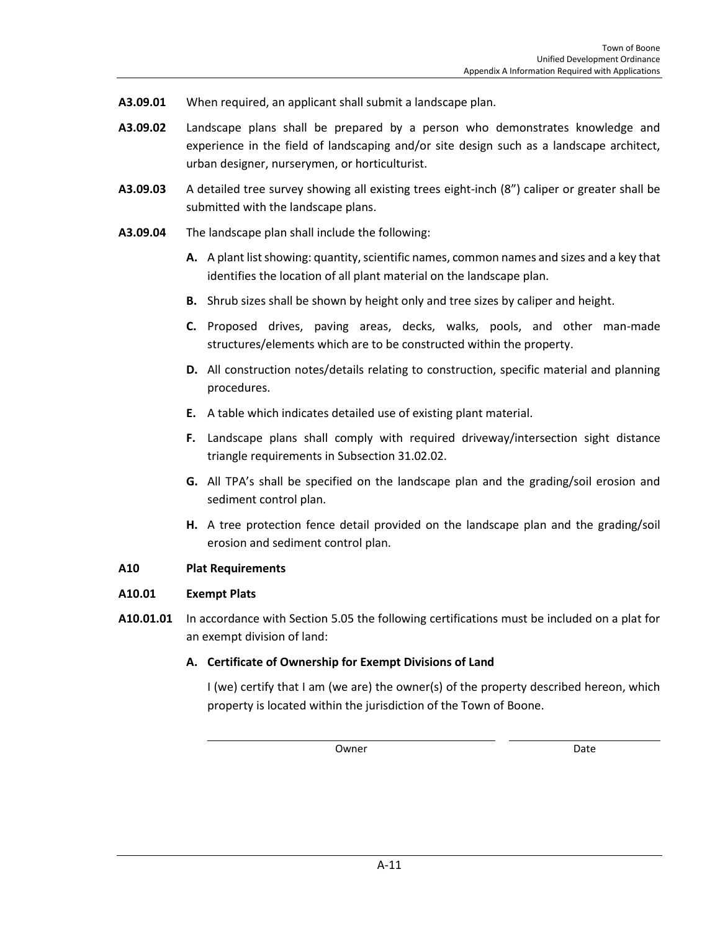- **A3.09.01** When required, an applicant shall submit a landscape plan.
- **A3.09.02** Landscape plans shall be prepared by a person who demonstrates knowledge and experience in the field of landscaping and/or site design such as a landscape architect, urban designer, nurserymen, or horticulturist.
- **A3.09.03** A detailed tree survey showing all existing trees eight-inch (8") caliper or greater shall be submitted with the landscape plans.
- **A3.09.04** The landscape plan shall include the following:
	- **A.** A plant list showing: quantity, scientific names, common names and sizes and a key that identifies the location of all plant material on the landscape plan.
	- **B.** Shrub sizes shall be shown by height only and tree sizes by caliper and height.
	- **C.** Proposed drives, paving areas, decks, walks, pools, and other man-made structures/elements which are to be constructed within the property.
	- **D.** All construction notes/details relating to construction, specific material and planning procedures.
	- **E.** A table which indicates detailed use of existing plant material.
	- **F.** Landscape plans shall comply with required driveway/intersection sight distance triangle requirements in Subsection 31.02.02.
	- **G.** All TPA's shall be specified on the landscape plan and the grading/soil erosion and sediment control plan.
	- **H.** A tree protection fence detail provided on the landscape plan and the grading/soil erosion and sediment control plan.

#### **A10 Plat Requirements**

#### **A10.01 Exempt Plats**

**A10.01.01** In accordance with Section 5.05 the following certifications must be included on a plat for an exempt division of land:

## **A. Certificate of Ownership for Exempt Divisions of Land**

I (we) certify that I am (we are) the owner(s) of the property described hereon, which property is located within the jurisdiction of the Town of Boone.

Owner **Date**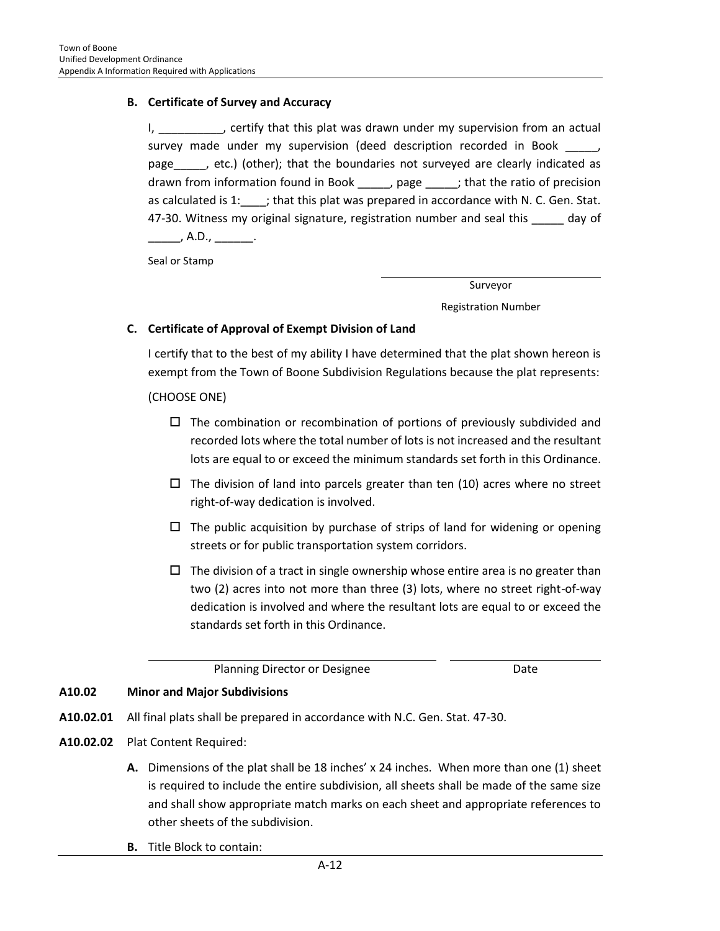#### **B. Certificate of Survey and Accuracy**

I, 1. Contriguently that this plat was drawn under my supervision from an actual survey made under my supervision (deed description recorded in Book \_\_\_\_\_, page\_\_\_\_\_, etc.) (other); that the boundaries not surveyed are clearly indicated as drawn from information found in Book \_\_\_\_\_, page \_\_\_\_\_; that the ratio of precision as calculated is  $1:$   $\therefore$ ; that this plat was prepared in accordance with N. C. Gen. Stat. 47-30. Witness my original signature, registration number and seal this \_\_\_\_\_ day of \_\_\_\_\_\_\_, A.D., \_\_\_\_\_\_\_.

Seal or Stamp

Surveyor

Registration Number

#### **C. Certificate of Approval of Exempt Division of Land**

I certify that to the best of my ability I have determined that the plat shown hereon is exempt from the Town of Boone Subdivision Regulations because the plat represents:

(CHOOSE ONE)

- $\Box$  The combination or recombination of portions of previously subdivided and recorded lots where the total number of lots is not increased and the resultant lots are equal to or exceed the minimum standards set forth in this Ordinance.
- $\Box$  The division of land into parcels greater than ten (10) acres where no street right-of-way dedication is involved.
- $\Box$  The public acquisition by purchase of strips of land for widening or opening streets or for public transportation system corridors.
- $\Box$  The division of a tract in single ownership whose entire area is no greater than two (2) acres into not more than three (3) lots, where no street right-of-way dedication is involved and where the resultant lots are equal to or exceed the standards set forth in this Ordinance.

Planning Director or Designee **Date** Date

#### **A10.02 Minor and Major Subdivisions**

- **A10.02.01** All final plats shall be prepared in accordance with N.C. Gen. Stat. 47-30.
- **A10.02.02** Plat Content Required:
	- **A.** Dimensions of the plat shall be 18 inches' x 24 inches. When more than one (1) sheet is required to include the entire subdivision, all sheets shall be made of the same size and shall show appropriate match marks on each sheet and appropriate references to other sheets of the subdivision.
	- **B.** Title Block to contain: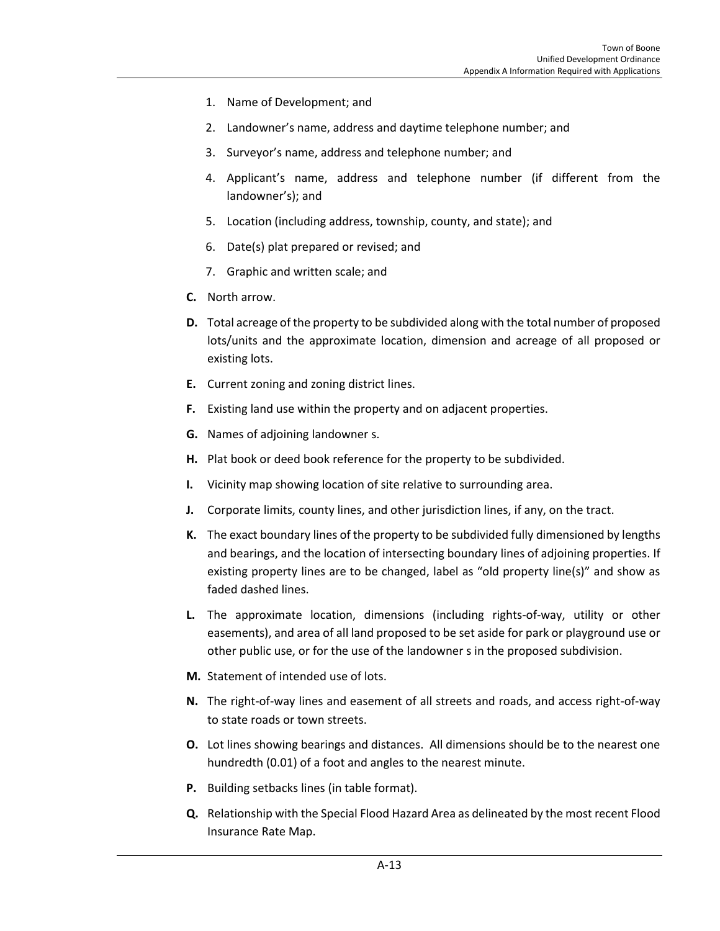- 1. Name of Development; and
- 2. Landowner's name, address and daytime telephone number; and
- 3. Surveyor's name, address and telephone number; and
- 4. Applicant's name, address and telephone number (if different from the landowner's); and
- 5. Location (including address, township, county, and state); and
- 6. Date(s) plat prepared or revised; and
- 7. Graphic and written scale; and
- **C.** North arrow.
- **D.** Total acreage of the property to be subdivided along with the total number of proposed lots/units and the approximate location, dimension and acreage of all proposed or existing lots.
- **E.** Current zoning and zoning district lines.
- **F.** Existing land use within the property and on adjacent properties.
- **G.** Names of adjoining landowner s.
- **H.** Plat book or deed book reference for the property to be subdivided.
- **I.** Vicinity map showing location of site relative to surrounding area.
- **J.** Corporate limits, county lines, and other jurisdiction lines, if any, on the tract.
- **K.** The exact boundary lines of the property to be subdivided fully dimensioned by lengths and bearings, and the location of intersecting boundary lines of adjoining properties. If existing property lines are to be changed, label as "old property line(s)" and show as faded dashed lines.
- **L.** The approximate location, dimensions (including rights-of-way, utility or other easements), and area of all land proposed to be set aside for park or playground use or other public use, or for the use of the landowner s in the proposed subdivision.
- **M.** Statement of intended use of lots.
- **N.** The right-of-way lines and easement of all streets and roads, and access right-of-way to state roads or town streets.
- **O.** Lot lines showing bearings and distances. All dimensions should be to the nearest one hundredth (0.01) of a foot and angles to the nearest minute.
- **P.** Building setbacks lines (in table format).
- **Q.** Relationship with the Special Flood Hazard Area as delineated by the most recent Flood Insurance Rate Map.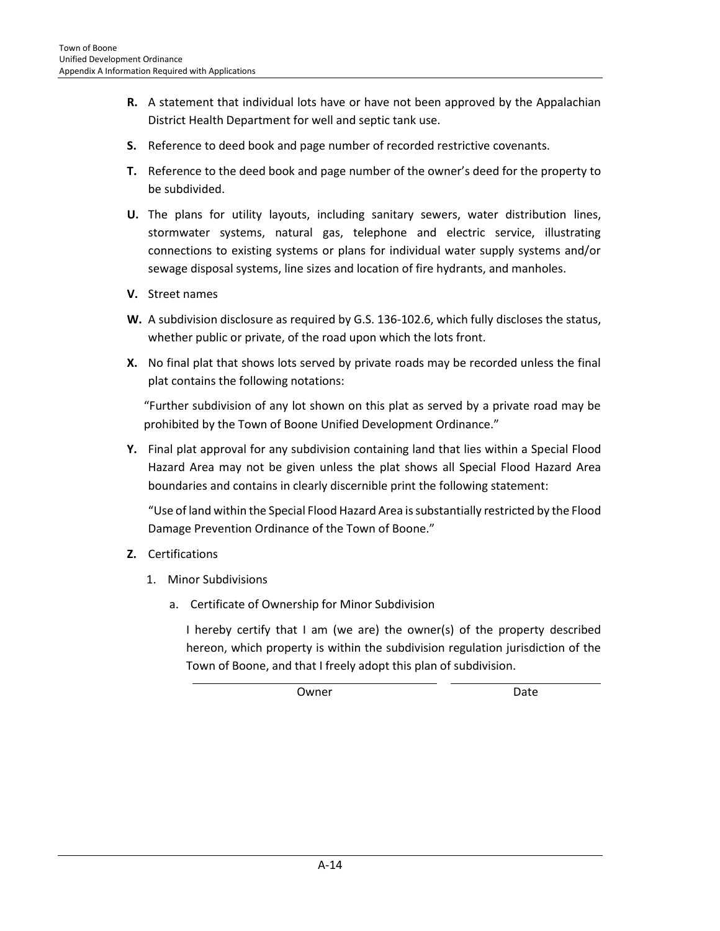- **R.** A statement that individual lots have or have not been approved by the Appalachian District Health Department for well and septic tank use.
- **S.** Reference to deed book and page number of recorded restrictive covenants.
- **T.** Reference to the deed book and page number of the owner's deed for the property to be subdivided.
- **U.** The plans for utility layouts, including sanitary sewers, water distribution lines, stormwater systems, natural gas, telephone and electric service, illustrating connections to existing systems or plans for individual water supply systems and/or sewage disposal systems, line sizes and location of fire hydrants, and manholes.
- **V.** Street names
- **W.** A subdivision disclosure as required by G.S. 136-102.6, which fully discloses the status, whether public or private, of the road upon which the lots front.
- **X.** No final plat that shows lots served by private roads may be recorded unless the final plat contains the following notations:

"Further subdivision of any lot shown on this plat as served by a private road may be prohibited by the Town of Boone Unified Development Ordinance."

**Y.** Final plat approval for any subdivision containing land that lies within a Special Flood Hazard Area may not be given unless the plat shows all Special Flood Hazard Area boundaries and contains in clearly discernible print the following statement:

"Use of land within the Special Flood Hazard Area is substantially restricted by the Flood Damage Prevention Ordinance of the Town of Boone."

- **Z.** Certifications
	- 1. Minor Subdivisions
		- a. Certificate of Ownership for Minor Subdivision

I hereby certify that I am (we are) the owner(s) of the property described hereon, which property is within the subdivision regulation jurisdiction of the Town of Boone, and that I freely adopt this plan of subdivision.

Owner Date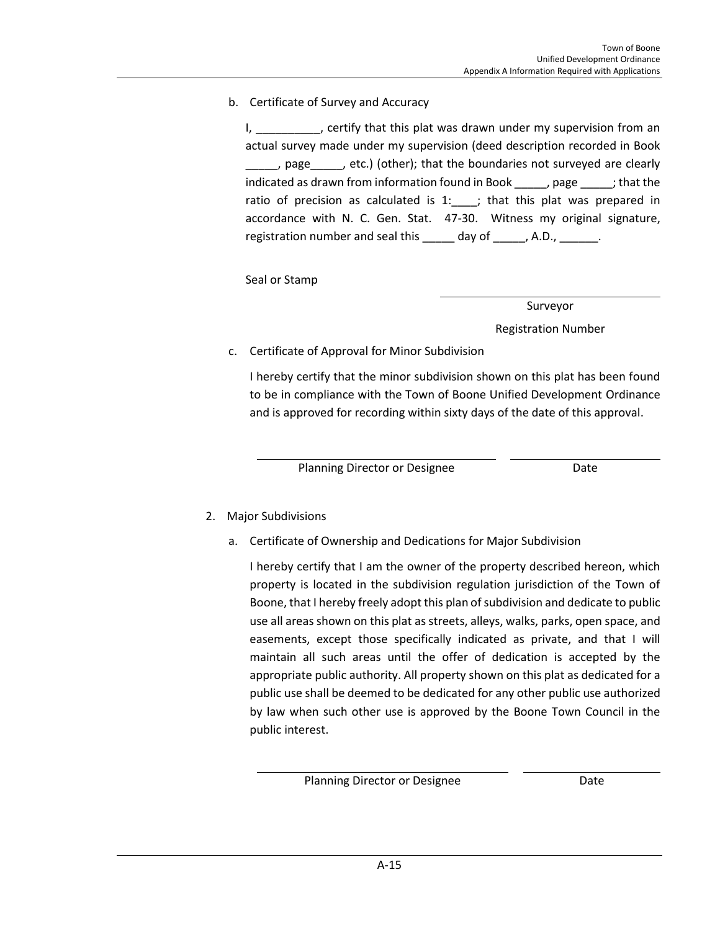b. Certificate of Survey and Accuracy

I, \_\_\_\_\_\_\_\_\_, certify that this plat was drawn under my supervision from an actual survey made under my supervision (deed description recorded in Book page \_\_\_\_\_, etc.) (other); that the boundaries not surveyed are clearly indicated as drawn from information found in Book \_\_\_\_\_, page \_\_\_\_\_; that the ratio of precision as calculated is  $1:$   $\longrightarrow$ ; that this plat was prepared in accordance with N. C. Gen. Stat. 47-30. Witness my original signature, registration number and seal this \_\_\_\_\_ day of \_\_\_\_\_, A.D., \_\_\_\_\_\_.

Seal or Stamp

Surveyor

Registration Number

## c. Certificate of Approval for Minor Subdivision

I hereby certify that the minor subdivision shown on this plat has been found to be in compliance with the Town of Boone Unified Development Ordinance and is approved for recording within sixty days of the date of this approval.

Planning Director or Designee **Date** Date

- 2. Major Subdivisions
	- a. Certificate of Ownership and Dedications for Major Subdivision

I hereby certify that I am the owner of the property described hereon, which property is located in the subdivision regulation jurisdiction of the Town of Boone, that I hereby freely adopt this plan of subdivision and dedicate to public use all areas shown on this plat as streets, alleys, walks, parks, open space, and easements, except those specifically indicated as private, and that I will maintain all such areas until the offer of dedication is accepted by the appropriate public authority. All property shown on this plat as dedicated for a public use shall be deemed to be dedicated for any other public use authorized by law when such other use is approved by the Boone Town Council in the public interest.

Planning Director or Designee **Date** Date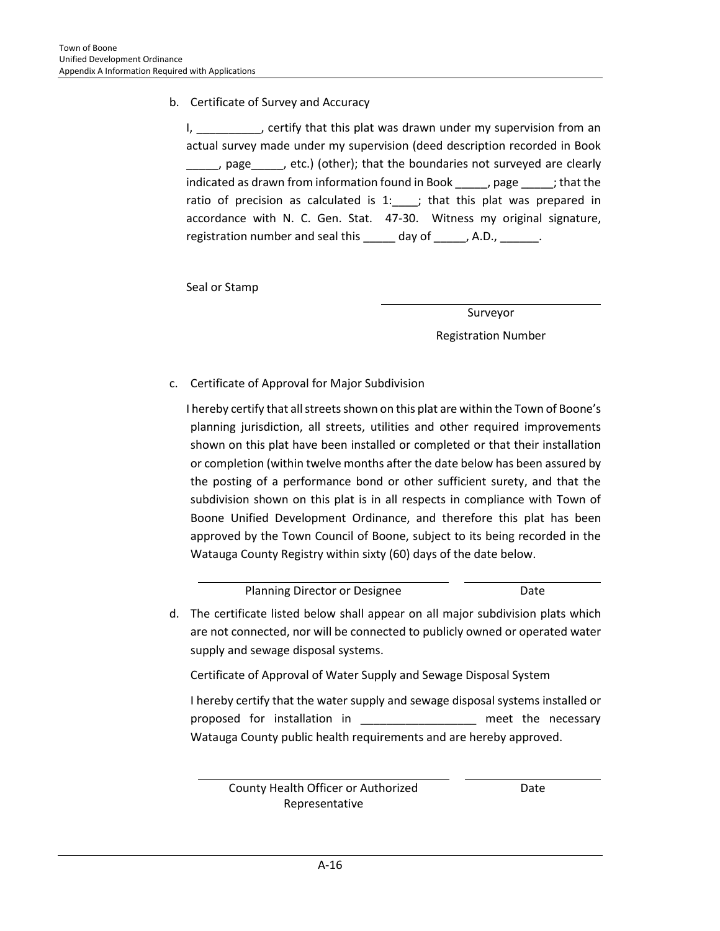b. Certificate of Survey and Accuracy

I, \_\_\_\_\_\_\_\_\_, certify that this plat was drawn under my supervision from an actual survey made under my supervision (deed description recorded in Book page \_\_\_\_, etc.) (other); that the boundaries not surveyed are clearly indicated as drawn from information found in Book \_\_\_\_\_, page \_\_\_\_\_; that the ratio of precision as calculated is  $1:$   $\longrightarrow$ ; that this plat was prepared in accordance with N. C. Gen. Stat. 47-30. Witness my original signature, registration number and seal this \_\_\_\_\_ day of \_\_\_\_\_, A.D., \_\_\_\_\_\_.

Seal or Stamp

Surveyor Registration Number

c. Certificate of Approval for Major Subdivision

I hereby certify that all streets shown on this plat are within the Town of Boone's planning jurisdiction, all streets, utilities and other required improvements shown on this plat have been installed or completed or that their installation or completion (within twelve months after the date below has been assured by the posting of a performance bond or other sufficient surety, and that the subdivision shown on this plat is in all respects in compliance with Town of Boone Unified Development Ordinance, and therefore this plat has been approved by the Town Council of Boone, subject to its being recorded in the Watauga County Registry within sixty (60) days of the date below.

Planning Director or Designee **Date** Date d. The certificate listed below shall appear on all major subdivision plats which are not connected, nor will be connected to publicly owned or operated water supply and sewage disposal systems.

Certificate of Approval of Water Supply and Sewage Disposal System

I hereby certify that the water supply and sewage disposal systems installed or proposed for installation in Theorem and the necessary Watauga County public health requirements and are hereby approved.

County Health Officer or Authorized Representative

Date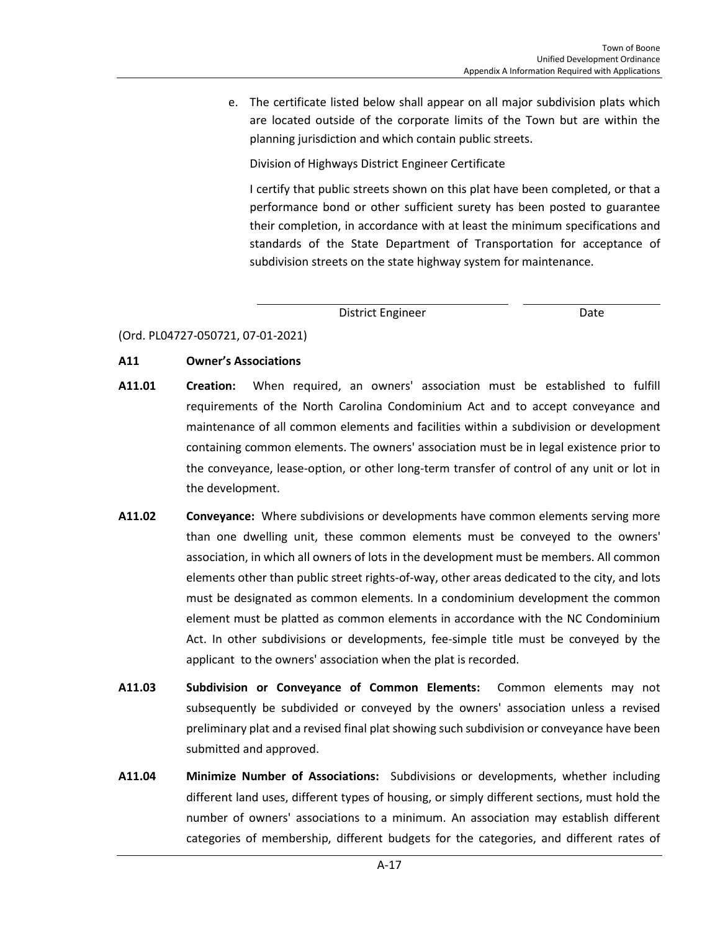e. The certificate listed below shall appear on all major subdivision plats which are located outside of the corporate limits of the Town but are within the planning jurisdiction and which contain public streets.

Division of Highways District Engineer Certificate

I certify that public streets shown on this plat have been completed, or that a performance bond or other sufficient surety has been posted to guarantee their completion, in accordance with at least the minimum specifications and standards of the State Department of Transportation for acceptance of subdivision streets on the state highway system for maintenance.

District Engineer **Date** 

(Ord. PL04727-050721, 07-01-2021)

## **A11 Owner's Associations**

- **A11.01 Creation:** When required, an owners' association must be established to fulfill requirements of the North Carolina Condominium Act and to accept conveyance and maintenance of all common elements and facilities within a [subdivision](http://www.zoningplus.com/regs/greensboro/codetext.aspx?mode=2&xRef=1&index=862) or [development](http://www.zoningplus.com/regs/greensboro/codetext.aspx?mode=2&xRef=1&index=547) containing common elements. The owners' association must be in legal existence prior to the conveyance, lease-option, or other long-term transfer of control of any unit or lot in the development.
- **A11.02 Conveyance:** Where subdivisions or [developments](http://www.zoningplus.com/regs/greensboro/codetext.aspx?mode=2&xRef=1&index=547) have common elements serving more than one [dwelling unit,](http://www.zoningplus.com/regs/greensboro/codetext.aspx?mode=2&xRef=1&index=569) these common elements must be conveyed to the owners' association, in which all owners of lots in the development must be members. All common elements other than public street rights-of-way, other areas dedicated to the city, an[d lots](http://www.zoningplus.com/regs/greensboro/codetext.aspx?mode=2&xRef=1&index=647) must be designated as common elements. In a [condominium](http://www.zoningplus.com/regs/greensboro/codetext.aspx?mode=2&xRef=1&index=533) development the common element must be platted as common elements in accordance with the NC Condominium Act. In other subdivisions or developments, fee-simple title must be conveyed by the [applicant](http://www.zoningplus.com/regs/greensboro/codetext.aspx?mode=2&xRef=1&index=546) to the owners' association when the [plat](http://www.zoningplus.com/regs/greensboro/codetext.aspx?mode=2&xRef=1&index=722) is recorded.
- **A11.03 Subdivision or Conveyance of Common Elements:** Common elements may not subsequently be subdivided or conveyed by the owners' association unless a revised preliminary plat and a revised final plat showing such subdivision or conveyance have been submitted and approved.
- **A11.04 Minimize Number of Associations:** Subdivisions or developments, whether including different land uses, different types of housing, or simply different sections, must hold the number of owners' associations to a minimum. An association may establish different categories of membership, different budgets for the categories, and different rates of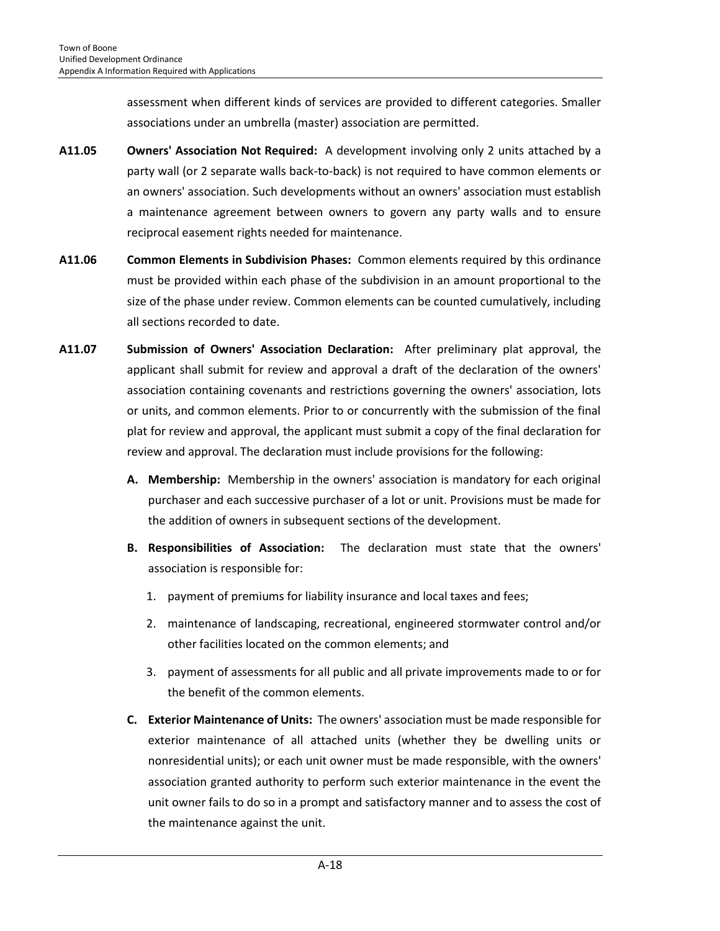assessment when different kinds of services are provided to different categories. Smaller associations under an umbrella (master) association are permitted.

- **A11.05 Owners' Association Not Required:** A [development](http://www.zoningplus.com/regs/greensboro/codetext.aspx?mode=2&xRef=1&index=547) involving only 2 units attached by a party wall (or 2 separate walls back-to-back) is not required to have common elements or an owners' association. Such developments without an owners' association must establish a maintenance agreement between owners to govern any party walls and to ensure reciprocal easement rights needed for maintenance.
- **A11.06 Common Elements in Subdivision Phases:** Common elements required by this ordinance must be provided within each phase of the [subdivision](http://www.zoningplus.com/regs/greensboro/codetext.aspx?mode=2&xRef=1&index=862) in an amount proportional to the size of the phase under review. Common elements can be counted cumulatively, including all sections recorded to date.
- **A11.07 Submission of Owners' Association Declaration:** After [preliminary plat](http://www.zoningplus.com/regs/greensboro/codetext.aspx?mode=2&xRef=1&index=724) approval, the [applicant](http://www.zoningplus.com/regs/greensboro/codetext.aspx?mode=2&xRef=1&index=861) shall submit for review and approval a draft of the declaration of the owners' association containing covenants and restrictions governing the owners' association, lots or units, and common elements. Prior to or concurrently with the submission of the final plat for review and approval, the applicant must submit a copy of the final declaration for review and approval. The declaration must include provisions for the following:
	- **A. Membership:** Membership in the owners' association is mandatory for each original purchaser and each successive purchaser of a lot or unit. Provisions must be made for the addition of owners in subsequent sections of the development.
	- **B. Responsibilities of Association:** The declaration must state that the owners' association is responsible for:
		- 1. payment of premiums for liability insurance and local taxes and fees;
		- 2. maintenance of landscaping, recreational, engineered stormwater control and/or other facilities located on the common elements; and
		- 3. payment of assessments for all public and all private improvements made to or for the benefit of the common elements.
	- **C. Exterior Maintenance of Units:** The owners' association must be made responsible for exterior maintenance of all attached units (whether they be dwelling units or nonresidential units); or each unit [owner](http://www.zoningplus.com/regs/greensboro/codetext.aspx?mode=2&xRef=1&index=704) must be made responsible, with the owners' association granted authority to perform such exterior maintenance in the event the unit owner fails to do so in a prompt and satisfactory manner and to assess the cost of the maintenance against the unit.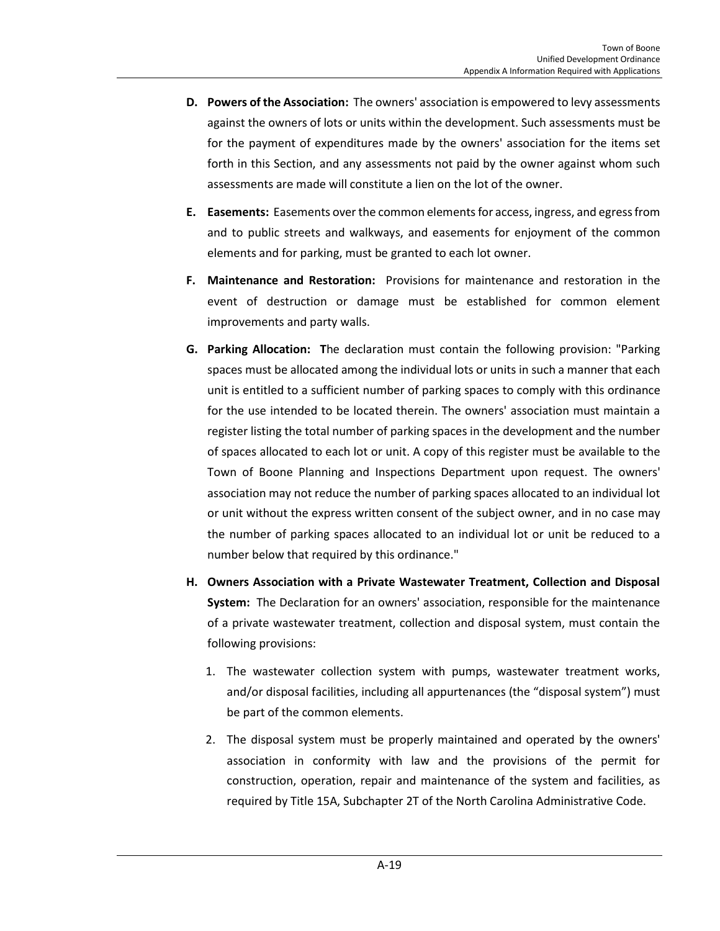- **D. Powers of the Association:** The owners' association is empowered to levy assessments against the owners of lots or units within the development. Such assessments must be for the payment of expenditures made by the owners' association for the items set forth in this Section, and any assessments not paid by the owner against whom such assessments are made will constitute a lien on the lot of the owner.
- **E. Easements:** [Easements](http://www.zoningplus.com/regs/greensboro/codetext.aspx?mode=2&xRef=1&index=571) over the common elements for access, ingress, and egress from and to public streets and walkways, and easements for enjoyment of the common elements and for parking, must be granted to each lot owner.
- **F. Maintenance and Restoration:** Provisions for maintenance and restoration in the event of destruction or damage must be established for common element improvements and party walls.
- **G. Parking Allocation: T**he declaration must contain the following provision: "Parking spaces must be allocated among the individual lots or units in such a manner that each unit is entitled to a sufficient number of parking spaces to comply with this ordinance for the use intended to be located therein. The owners' association must maintain a register listing the total number of parking spaces in the development and the number of spaces allocated to each lot or unit. A copy of this register must be available to the Town of Boone Planning and Inspections Department upon request. The owners' association may not reduce the number of parking spaces allocated to an individual lot or unit without the express written consent of the subject owner, and in no case may the number of parking spaces allocated to an individual lot or unit be reduced to a number below that required by this ordinance."
- **H. Owners Association with a Private Wastewater Treatment, Collection and Disposal System:** The Declaration for an owners' association, responsible for the maintenance of a private wastewater treatment, collection and disposal system, must contain the following provisions:
	- 1. The wastewater collection system with pumps, wastewater treatment works, and/or disposal facilities, including all appurtenances (the "disposal system") must be part of the common elements.
	- 2. The disposal system must be properly maintained and operated by the owners' association in conformity with law and the provisions of the permit for construction, operation, repair and maintenance of the system and facilities, as required by Title 15A, Subchapter 2T of the North Carolina Administrative Code.